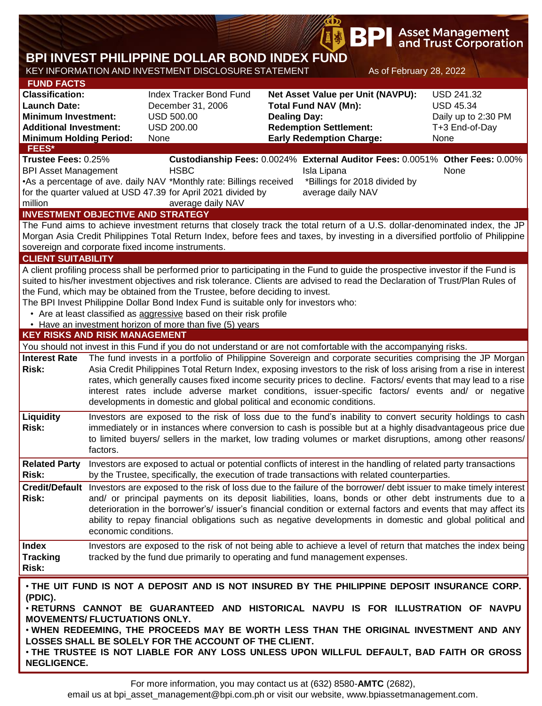|                                                                                                                                                                     |                                                                                                                                                                                                                                                                                                                                                                                                                                                                                                                                                                                                                                                      |                                                                                                                                                                                                                                                                                                                                                                                                                                                                                                                                                                                |                                                                                                                                                             | <b>BPI</b>                                                        |                         | <b>Asset Management</b><br>and Trust Corporation                                       |  |  |  |
|---------------------------------------------------------------------------------------------------------------------------------------------------------------------|------------------------------------------------------------------------------------------------------------------------------------------------------------------------------------------------------------------------------------------------------------------------------------------------------------------------------------------------------------------------------------------------------------------------------------------------------------------------------------------------------------------------------------------------------------------------------------------------------------------------------------------------------|--------------------------------------------------------------------------------------------------------------------------------------------------------------------------------------------------------------------------------------------------------------------------------------------------------------------------------------------------------------------------------------------------------------------------------------------------------------------------------------------------------------------------------------------------------------------------------|-------------------------------------------------------------------------------------------------------------------------------------------------------------|-------------------------------------------------------------------|-------------------------|----------------------------------------------------------------------------------------|--|--|--|
|                                                                                                                                                                     |                                                                                                                                                                                                                                                                                                                                                                                                                                                                                                                                                                                                                                                      | BPI INVEST PHILIPPINE DOLLAR BOND INDEX FUND                                                                                                                                                                                                                                                                                                                                                                                                                                                                                                                                   |                                                                                                                                                             |                                                                   |                         |                                                                                        |  |  |  |
|                                                                                                                                                                     |                                                                                                                                                                                                                                                                                                                                                                                                                                                                                                                                                                                                                                                      | KEY INFORMATION AND INVESTMENT DISCLOSURE STATEMENT                                                                                                                                                                                                                                                                                                                                                                                                                                                                                                                            |                                                                                                                                                             |                                                                   | As of February 28, 2022 |                                                                                        |  |  |  |
| <b>FUND FACTS</b><br><b>Classification:</b><br><b>Launch Date:</b><br><b>Minimum Investment:</b><br><b>Additional Investment:</b><br><b>Minimum Holding Period:</b> |                                                                                                                                                                                                                                                                                                                                                                                                                                                                                                                                                                                                                                                      | <b>Index Tracker Bond Fund</b><br>December 31, 2006<br><b>USD 500.00</b><br><b>USD 200.00</b><br>None                                                                                                                                                                                                                                                                                                                                                                                                                                                                          | Net Asset Value per Unit (NAVPU):<br><b>Total Fund NAV (Mn):</b><br><b>Dealing Day:</b><br><b>Redemption Settlement:</b><br><b>Early Redemption Charge:</b> |                                                                   |                         | <b>USD 241.32</b><br><b>USD 45.34</b><br>Daily up to 2:30 PM<br>T+3 End-of-Day<br>None |  |  |  |
| FEES*<br>Trustee Fees: 0.25%                                                                                                                                        |                                                                                                                                                                                                                                                                                                                                                                                                                                                                                                                                                                                                                                                      |                                                                                                                                                                                                                                                                                                                                                                                                                                                                                                                                                                                |                                                                                                                                                             |                                                                   |                         |                                                                                        |  |  |  |
| <b>BPI Asset Management</b><br>million                                                                                                                              |                                                                                                                                                                                                                                                                                                                                                                                                                                                                                                                                                                                                                                                      | Custodianship Fees: 0.0024% External Auditor Fees: 0.0051% Other Fees: 0.00%<br><b>HSBC</b><br>•As a percentage of ave. daily NAV *Monthly rate: Billings received<br>for the quarter valued at USD 47.39 for April 2021 divided by<br>average daily NAV<br><b>INVESTMENT OBJECTIVE AND STRATEGY</b>                                                                                                                                                                                                                                                                           |                                                                                                                                                             | Isla Lipana<br>*Billings for 2018 divided by<br>average daily NAV |                         | None                                                                                   |  |  |  |
|                                                                                                                                                                     |                                                                                                                                                                                                                                                                                                                                                                                                                                                                                                                                                                                                                                                      | The Fund aims to achieve investment returns that closely track the total return of a U.S. dollar-denominated index, the JP                                                                                                                                                                                                                                                                                                                                                                                                                                                     |                                                                                                                                                             |                                                                   |                         |                                                                                        |  |  |  |
| Morgan Asia Credit Philippines Total Return Index, before fees and taxes, by investing in a diversified portfolio of Philippine                                     |                                                                                                                                                                                                                                                                                                                                                                                                                                                                                                                                                                                                                                                      |                                                                                                                                                                                                                                                                                                                                                                                                                                                                                                                                                                                |                                                                                                                                                             |                                                                   |                         |                                                                                        |  |  |  |
| sovereign and corporate fixed income instruments.                                                                                                                   |                                                                                                                                                                                                                                                                                                                                                                                                                                                                                                                                                                                                                                                      |                                                                                                                                                                                                                                                                                                                                                                                                                                                                                                                                                                                |                                                                                                                                                             |                                                                   |                         |                                                                                        |  |  |  |
| <b>CLIENT SUITABILITY</b><br><b>KEY RISKS AND RISK MANAGEMENT</b>                                                                                                   |                                                                                                                                                                                                                                                                                                                                                                                                                                                                                                                                                                                                                                                      | A client profiling process shall be performed prior to participating in the Fund to guide the prospective investor if the Fund is<br>suited to his/her investment objectives and risk tolerance. Clients are advised to read the Declaration of Trust/Plan Rules of<br>the Fund, which may be obtained from the Trustee, before deciding to invest.<br>The BPI Invest Philippine Dollar Bond Index Fund is suitable only for investors who:<br>• Are at least classified as aggressive based on their risk profile<br>• Have an investment horizon of more than five (5) years |                                                                                                                                                             |                                                                   |                         |                                                                                        |  |  |  |
|                                                                                                                                                                     |                                                                                                                                                                                                                                                                                                                                                                                                                                                                                                                                                                                                                                                      |                                                                                                                                                                                                                                                                                                                                                                                                                                                                                                                                                                                |                                                                                                                                                             |                                                                   |                         |                                                                                        |  |  |  |
| <b>Interest Rate</b><br><b>Risk:</b>                                                                                                                                | You should not invest in this Fund if you do not understand or are not comfortable with the accompanying risks.<br>The fund invests in a portfolio of Philippine Sovereign and corporate securities comprising the JP Morgan<br>Asia Credit Philippines Total Return Index, exposing investors to the risk of loss arising from a rise in interest<br>rates, which generally causes fixed income security prices to decline. Factors/ events that may lead to a rise<br>interest rates include adverse market conditions, issuer-specific factors/ events and/ or negative<br>developments in domestic and global political and economic conditions. |                                                                                                                                                                                                                                                                                                                                                                                                                                                                                                                                                                                |                                                                                                                                                             |                                                                   |                         |                                                                                        |  |  |  |
| Liquidity<br>Risk:                                                                                                                                                  | Investors are exposed to the risk of loss due to the fund's inability to convert security holdings to cash<br>immediately or in instances where conversion to cash is possible but at a highly disadvantageous price due<br>to limited buyers/ sellers in the market, low trading volumes or market disruptions, among other reasons/<br>factors.                                                                                                                                                                                                                                                                                                    |                                                                                                                                                                                                                                                                                                                                                                                                                                                                                                                                                                                |                                                                                                                                                             |                                                                   |                         |                                                                                        |  |  |  |
| <b>Related Party</b><br><b>Risk:</b>                                                                                                                                |                                                                                                                                                                                                                                                                                                                                                                                                                                                                                                                                                                                                                                                      | Investors are exposed to actual or potential conflicts of interest in the handling of related party transactions<br>by the Trustee, specifically, the execution of trade transactions with related counterparties.                                                                                                                                                                                                                                                                                                                                                             |                                                                                                                                                             |                                                                   |                         |                                                                                        |  |  |  |
| Risk:                                                                                                                                                               | Credit/Default Investors are exposed to the risk of loss due to the failure of the borrower/debt issuer to make timely interest<br>and/ or principal payments on its deposit liabilities, loans, bonds or other debt instruments due to a<br>deterioration in the borrower's/ issuer's financial condition or external factors and events that may affect its<br>ability to repay financial obligations such as negative developments in domestic and global political and<br>economic conditions.                                                                                                                                                   |                                                                                                                                                                                                                                                                                                                                                                                                                                                                                                                                                                                |                                                                                                                                                             |                                                                   |                         |                                                                                        |  |  |  |
| <b>Index</b><br><b>Tracking</b><br>Risk:                                                                                                                            |                                                                                                                                                                                                                                                                                                                                                                                                                                                                                                                                                                                                                                                      | Investors are exposed to the risk of not being able to achieve a level of return that matches the index being<br>tracked by the fund due primarily to operating and fund management expenses.                                                                                                                                                                                                                                                                                                                                                                                  |                                                                                                                                                             |                                                                   |                         |                                                                                        |  |  |  |
| (PDIC).<br>MOVEMENTS/ FLUCTUATIONS ONLY.<br><b>NEGLIGENCE.</b>                                                                                                      |                                                                                                                                                                                                                                                                                                                                                                                                                                                                                                                                                                                                                                                      | . THE UIT FUND IS NOT A DEPOSIT AND IS NOT INSURED BY THE PHILIPPINE DEPOSIT INSURANCE CORP.<br>. RETURNS CANNOT BE GUARANTEED AND HISTORICAL NAVPU IS FOR ILLUSTRATION OF NAVPU<br>. WHEN REDEEMING, THE PROCEEDS MAY BE WORTH LESS THAN THE ORIGINAL INVESTMENT AND ANY<br>LOSSES SHALL BE SOLELY FOR THE ACCOUNT OF THE CLIENT.<br>. THE TRUSTEE IS NOT LIABLE FOR ANY LOSS UNLESS UPON WILLFUL DEFAULT, BAD FAITH OR GROSS                                                                                                                                                 |                                                                                                                                                             |                                                                   |                         |                                                                                        |  |  |  |

**B** 

email us at bpi\_asset\_management@bpi.com.ph or visit our website, www.bpiassetmanagement.com.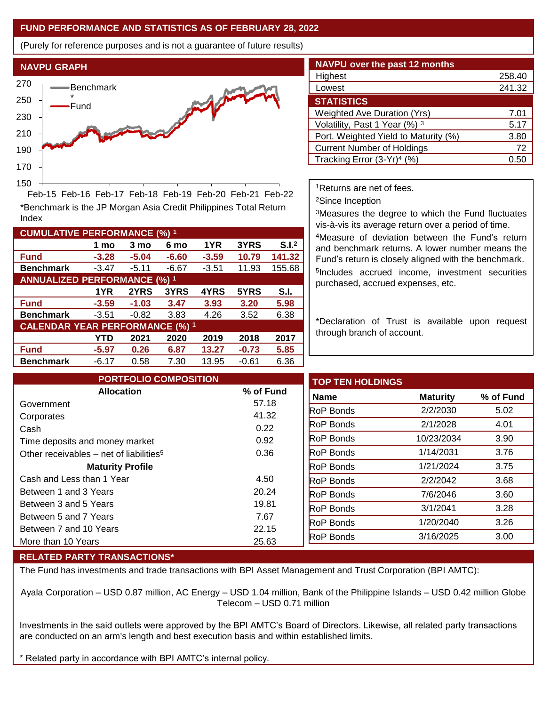## **FUND PERFORMANCE AND STATISTICS AS OF FEBRUARY 28, 2022**

(Purely for reference purposes and is not a guarantee of future results)



**Fund -3.28 -5.04 -6.60 -3.59 10.79 141.32 Benchmark** -3.47 -5.11 -6.67 -3.51 11.93 155.68

\*Benchmark is the JP Morgan Asia Credit Philippines Total Return

Feb-15 Feb-16 Feb-17 Feb-18 Feb-19 Feb-20 Feb-21 Feb-22

**Fund -3.59 -1.03 3.47 3.93 3.20 5.98 Benchmark** -3.51 -0.82 3.83 4.26 3.52 6.38

**Fund -5.97 0.26 6.87 13.27 -0.73 5.85 Benchmark** -6.17 0.58 7.30 13.95 -0.61 6.36

**1 mo 3 mo 6 mo 1YR 3YRS S.I.<sup>2</sup>**

**1YR 2YRS 3YRS 4YRS 5YRS S.I.**

**YTD 2021 2020 2019 2018 2017**

| NAVPU over the past 12 months        |        |  |  |  |  |  |
|--------------------------------------|--------|--|--|--|--|--|
| Highest                              | 258.40 |  |  |  |  |  |
| Lowest                               | 241.32 |  |  |  |  |  |
| <b>STATISTICS</b>                    |        |  |  |  |  |  |
| <b>Weighted Ave Duration (Yrs)</b>   | 7.01   |  |  |  |  |  |
| Volatility, Past 1 Year (%) 3        | 5.17   |  |  |  |  |  |
| Port. Weighted Yield to Maturity (%) | 3.80   |  |  |  |  |  |
| <b>Current Number of Holdings</b>    | 72     |  |  |  |  |  |
| Tracking Error $(3-Yr)^4$ (%)        |        |  |  |  |  |  |

<sup>1</sup>Returns are net of fees.

<sup>2</sup>Since Inception

<sup>3</sup>Measures the degree to which the Fund fluctuates vis-à-vis its average return over a period of time.

<sup>4</sup>Measure of deviation between the Fund's return and benchmark returns. A lower number means the Fund's return is closely aligned with the benchmark. 5 Includes accrued income, investment securities purchased, accrued expenses, etc.

\*Declaration of Trust is available upon request through branch of account.

| <b>PORTFOLIO COMPOSITION</b>                        |           | <b>TOP TEN HOLDINGS</b> |                 |           |
|-----------------------------------------------------|-----------|-------------------------|-----------------|-----------|
| <b>Allocation</b>                                   | % of Fund | Name                    | <b>Maturity</b> | % of Fund |
| Government                                          | 57.18     | <b>RoP Bonds</b>        | 2/2/2030        |           |
| Corporates                                          | 41.32     | <b>RoP</b> Bonds        | 2/1/2028        |           |
| Cash                                                | 0.22      |                         |                 |           |
| Time deposits and money market                      | 0.92      | <b>RoP</b> Bonds        | 10/23/2034      |           |
| Other receivables – net of liabilities <sup>5</sup> | 0.36      | <b>RoP</b> Bonds        | 1/14/2031       |           |
| <b>Maturity Profile</b>                             |           | <b>RoP Bonds</b>        | 1/21/2024       |           |
| Cash and Less than 1 Year                           | 4.50      | <b>RoP Bonds</b>        | 2/2/2042        |           |
| Between 1 and 3 Years                               | 20.24     | <b>RoP Bonds</b>        | 7/6/2046        |           |
| Between 3 and 5 Years                               | 19.81     | <b>RoP Bonds</b>        | 3/1/2041        |           |
| Between 5 and 7 Years                               | 7.67      | <b>RoP Bonds</b>        | 1/20/2040       |           |
| Between 7 and 10 Years                              | 22.15     |                         |                 |           |
| More than 10 Years                                  | 25.63     | <b>RoP Bonds</b>        | 3/16/2025       |           |

## **RELATED PARTY TRANSACTIONS\***

**CUMULATIVE PERFORMANCE (%) <sup>1</sup>**

Index

**ANNUALIZED PERFORMANCE (%) <sup>1</sup>**

**CALENDAR YEAR PERFORMANCE (%) <sup>1</sup>**

The Fund has investments and trade transactions with BPI Asset Management and Trust Corporation (BPI AMTC):

Ayala Corporation – USD 0.87 million, AC Energy – USD 1.04 million, Bank of the Philippine Islands – USD 0.42 million Globe Telecom – USD 0.71 million

Investments in the said outlets were approved by the BPI AMTC's Board of Directors. Likewise, all related party transactions are conducted on an arm's length and best execution basis and within established limits.

Related party in accordance with BPI AMTC's internal policy.